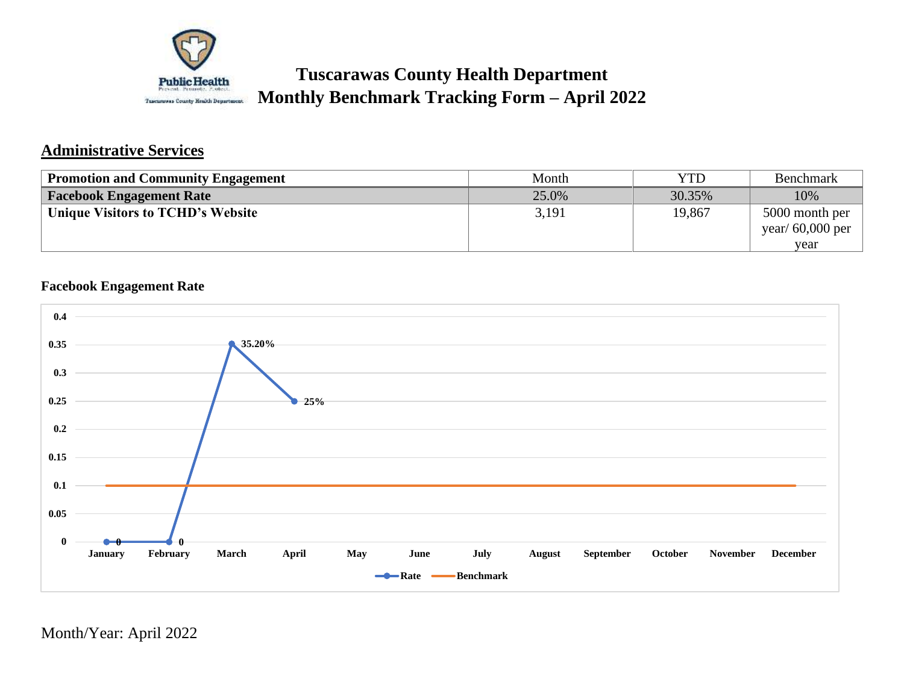

# **Tuscarawas County Health Department Monthly Benchmark Tracking Form – April 2022**

## **Administrative Services**

| <b>Promotion and Community Engagement</b> | Month | YTD    | <b>Benchmark</b>   |
|-------------------------------------------|-------|--------|--------------------|
| <b>Facebook Engagement Rate</b>           | 25.0% | 30.35% | 10%                |
| Unique Visitors to TCHD's Website         | 3,191 | 19,867 | 5000 month per     |
|                                           |       |        | year/ $60,000$ per |
|                                           |       |        | vear               |

## **Facebook Engagement Rate**

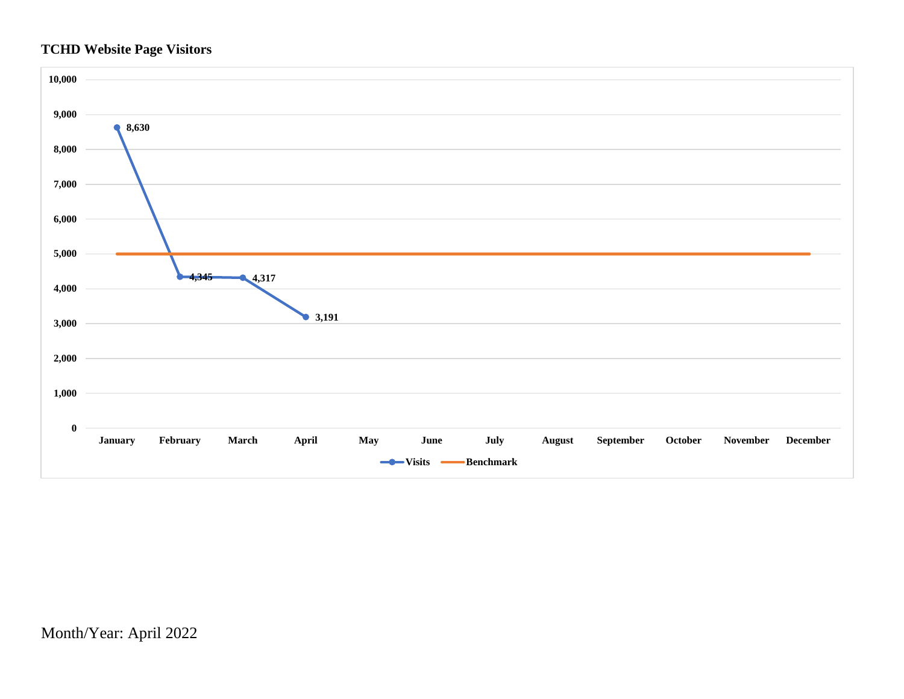## **TCHD Website Page Visitors**

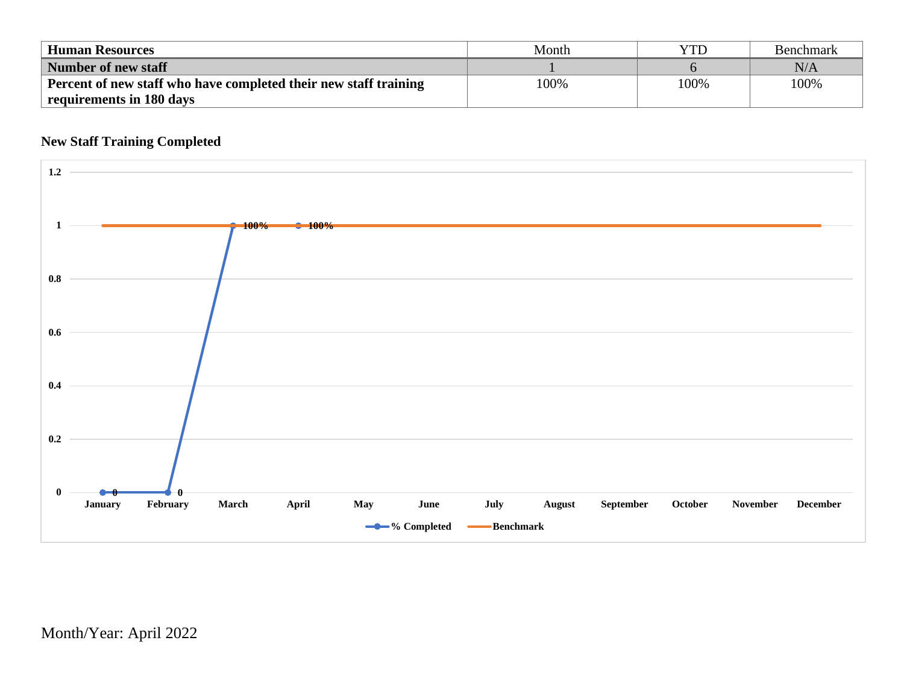| <b>Human Resources</b>                                           | Month | YTD  | <b>Benchmark</b> |
|------------------------------------------------------------------|-------|------|------------------|
| Number of new staff                                              |       |      | $\rm N/A$        |
| Percent of new staff who have completed their new staff training | 100%  | 100% | 100%             |
| requirements in 180 days                                         |       |      |                  |

## **New Staff Training Completed**

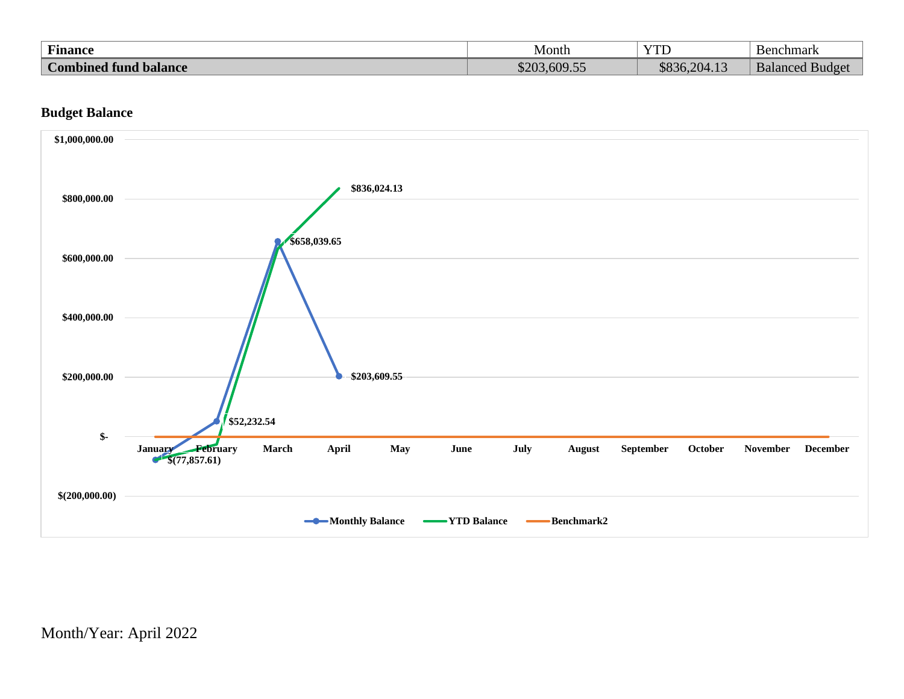| <b>Finance</b>                        | Month                   | $V^{\text{TT}}$<br>11D   | chmark<br>ບົດທ<br>חנו              |
|---------------------------------------|-------------------------|--------------------------|------------------------------------|
| $\sim$<br>balance<br>Combined<br>tund | 609.55<br>$\mathcal{L}$ | $\sim$<br>$R$ 936,204.1. | $\mathbf{r}$<br>BulqP'<br>Balanced |

### **Budget Balance**

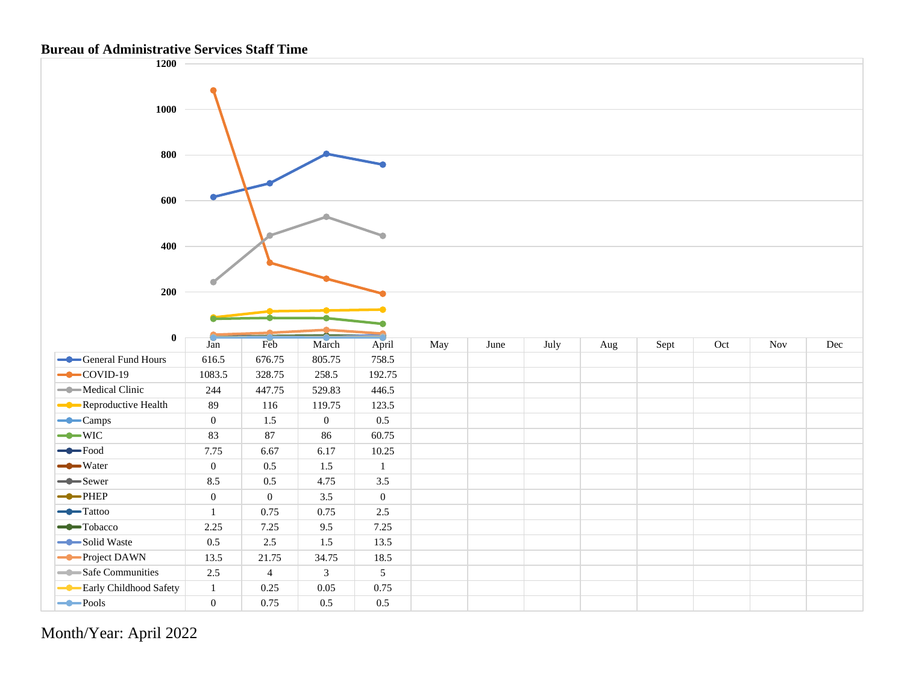#### **Bureau of Administrative Services Staff Time**

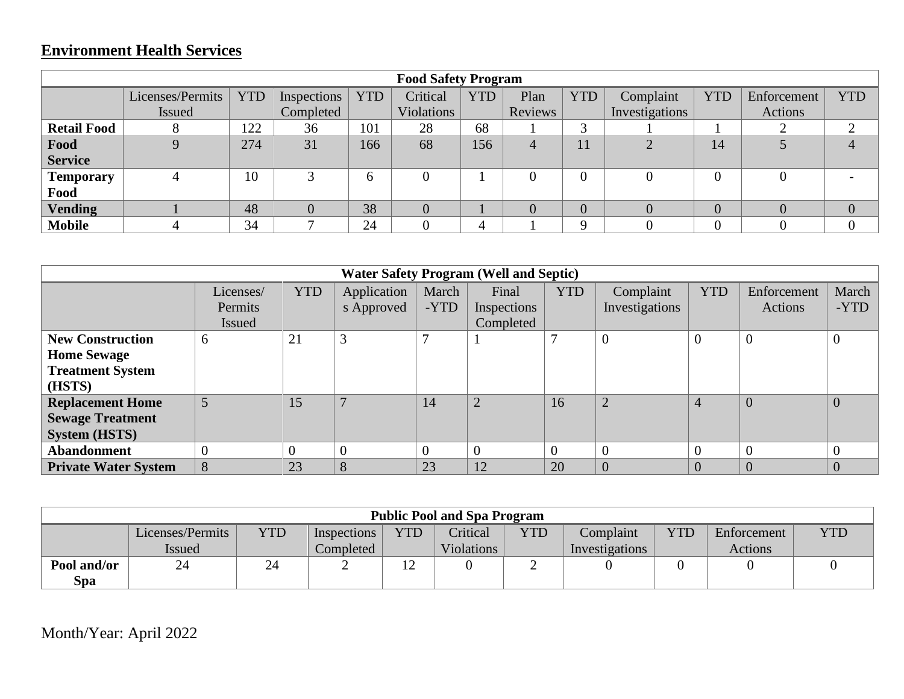# **Environment Health Services**

|                    | <b>Food Safety Program</b> |            |             |            |                |            |         |                |                |                |                |            |
|--------------------|----------------------------|------------|-------------|------------|----------------|------------|---------|----------------|----------------|----------------|----------------|------------|
|                    | Licenses/Permits           | <b>YTD</b> | Inspections | <b>YTD</b> | Critical       | <b>YTD</b> | Plan    | <b>YTD</b>     | Complaint      | <b>YTD</b>     | Enforcement    | <b>YTD</b> |
|                    | Issued                     |            | Completed   |            | Violations     |            | Reviews |                | Investigations |                | Actions        |            |
| <b>Retail Food</b> | 8                          | 122        | 36          | 101        | 28             | 68         |         | 3              |                |                | ◠              |            |
| Food               |                            | 274        | 31          | 166        | 68             | 156        | 4       | 11             | $\overline{2}$ | 14             |                |            |
| <b>Service</b>     |                            |            |             |            |                |            |         |                |                |                |                |            |
| <b>Temporary</b>   |                            | 10         |             | 6          |                |            |         | $\overline{0}$ |                | $\theta$       | $\overline{0}$ |            |
| Food               |                            |            |             |            |                |            |         |                |                |                |                |            |
| <b>Vending</b>     |                            | 48         |             | 38         | $\overline{0}$ |            |         | $\overline{0}$ |                | $\overline{0}$ | $\overline{0}$ |            |
| <b>Mobile</b>      |                            | 34         |             | 24         |                | 4          |         | $\Omega$       |                |                |                |            |

|                             |           |            |              |              | <b>Water Safety Program (Well and Septic)</b> |            |                |                |             |       |
|-----------------------------|-----------|------------|--------------|--------------|-----------------------------------------------|------------|----------------|----------------|-------------|-------|
|                             | Licenses/ | <b>YTD</b> | Application  | March        | Final                                         | <b>YTD</b> | Complaint      | <b>YTD</b>     | Enforcement | March |
|                             | Permits   |            | s Approved   | -YTD         | Inspections                                   |            | Investigations |                | Actions     | -YTD  |
|                             | Issued    |            |              |              | Completed                                     |            |                |                |             |       |
| <b>New Construction</b>     | 6         | 21         | 3            | $\mathbf{r}$ |                                               |            | $\overline{0}$ | $\overline{0}$ | 0           |       |
| <b>Home Sewage</b>          |           |            |              |              |                                               |            |                |                |             |       |
| <b>Treatment System</b>     |           |            |              |              |                                               |            |                |                |             |       |
| (HSTS)                      |           |            |              |              |                                               |            |                |                |             |       |
| <b>Replacement Home</b>     | 5         | 15         | $\mathbf{r}$ | 14           | $\overline{2}$                                | 16         | $\overline{2}$ | $\overline{4}$ |             | 0     |
| <b>Sewage Treatment</b>     |           |            |              |              |                                               |            |                |                |             |       |
| <b>System (HSTS)</b>        |           |            |              |              |                                               |            |                |                |             |       |
| <b>Abandonment</b>          |           | $\theta$   |              | $\theta$     |                                               | $\Omega$   | $\overline{0}$ | $\Omega$       |             |       |
| <b>Private Water System</b> | 8         | 23         | 8            | 23           | 12                                            | 20         | $\overline{0}$ | $\overline{0}$ |             |       |

| <b>Public Pool and Spa Program</b> |                  |            |             |     |                   |            |                |            |             |            |
|------------------------------------|------------------|------------|-------------|-----|-------------------|------------|----------------|------------|-------------|------------|
|                                    | Licenses/Permits | <b>YTD</b> | Inspections | YTD | Critical          | <b>YTD</b> | Complaint      | <b>YTD</b> | Enforcement | <b>YTD</b> |
|                                    | <i>Issued</i>    |            | Completed   |     | <b>Violations</b> |            | Investigations |            | Actions     |            |
| Pool and/or                        | 24               | 24         | ∸           | . . |                   | ∽          |                |            |             |            |
| <b>Spa</b>                         |                  |            |             |     |                   |            |                |            |             |            |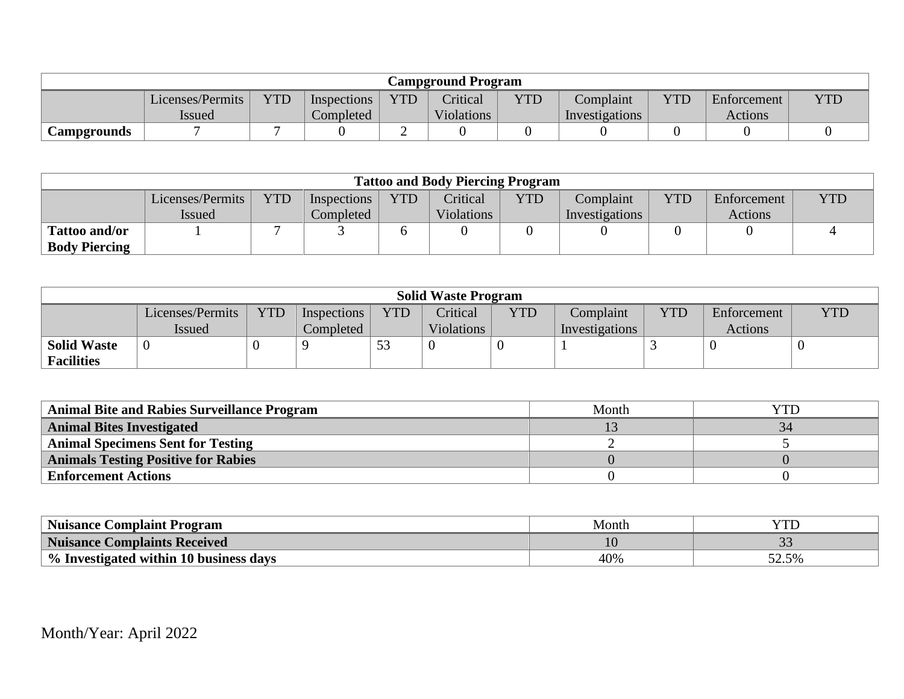| <b>Campground Program</b> |                  |            |             |            |            |            |                |            |             |     |
|---------------------------|------------------|------------|-------------|------------|------------|------------|----------------|------------|-------------|-----|
|                           | Licenses/Permits | <b>YTD</b> | Inspections | <b>YTD</b> | Critical   | <b>YTD</b> | Complaint      | <b>YTD</b> | Enforcement | YTD |
|                           | <b>Issued</b>    |            | Completed   |            | Violations |            | Investigations |            | Actions     |     |
| <b>Campgrounds</b>        |                  |            |             | ∼          |            |            |                |            |             |     |

|                      | <b>Tattoo and Body Piercing Program</b> |            |             |            |                   |            |                |     |             |            |  |
|----------------------|-----------------------------------------|------------|-------------|------------|-------------------|------------|----------------|-----|-------------|------------|--|
|                      | Licenses/Permits                        | <b>YTD</b> | Inspections | <b>YTD</b> | Critical          | <b>YTD</b> | Complaint      | YTD | Enforcement | <b>YTD</b> |  |
|                      | <i>Issued</i>                           |            | Completed   |            | <b>Violations</b> |            | Investigations |     | Actions     |            |  |
| <b>Tattoo and/or</b> |                                         |            |             |            |                   |            |                |     |             |            |  |
| <b>Body Piercing</b> |                                         |            |             |            |                   |            |                |     |             |            |  |

| <b>Solid Waste Program</b> |                  |            |             |            |                   |            |                |            |             |            |
|----------------------------|------------------|------------|-------------|------------|-------------------|------------|----------------|------------|-------------|------------|
|                            | Licenses/Permits | <b>YTD</b> | Inspections | <b>YTD</b> | Critical          | <b>YTD</b> | Complaint      | <b>YTD</b> | Enforcement | <b>YTD</b> |
|                            | <i>Issued</i>    |            | Completed   |            | <b>Violations</b> |            | Investigations |            | Actions     |            |
| <b>Solid Waste</b>         |                  |            |             | 53         |                   |            |                |            |             |            |
| <b>Facilities</b>          |                  |            |             |            |                   |            |                |            |             |            |

| <b>Animal Bite and Rabies Surveillance Program</b> | Month |  |
|----------------------------------------------------|-------|--|
| <b>Animal Bites Investigated</b>                   |       |  |
| <b>Animal Specimens Sent for Testing</b>           |       |  |
| <b>Animals Testing Positive for Rabies</b>         |       |  |
| <b>Enforcement Actions</b>                         |       |  |

| <b>Nuisance Complaint Program</b>       | Montr |                                 |
|-----------------------------------------|-------|---------------------------------|
| <b>Nuisance Complaints Received</b>     | ᆂ     | $\sim$<br>$\tilde{\phantom{a}}$ |
| \% Investigated within 10 business days | 40%   | rn.<br>50/<br>JZ.J 70           |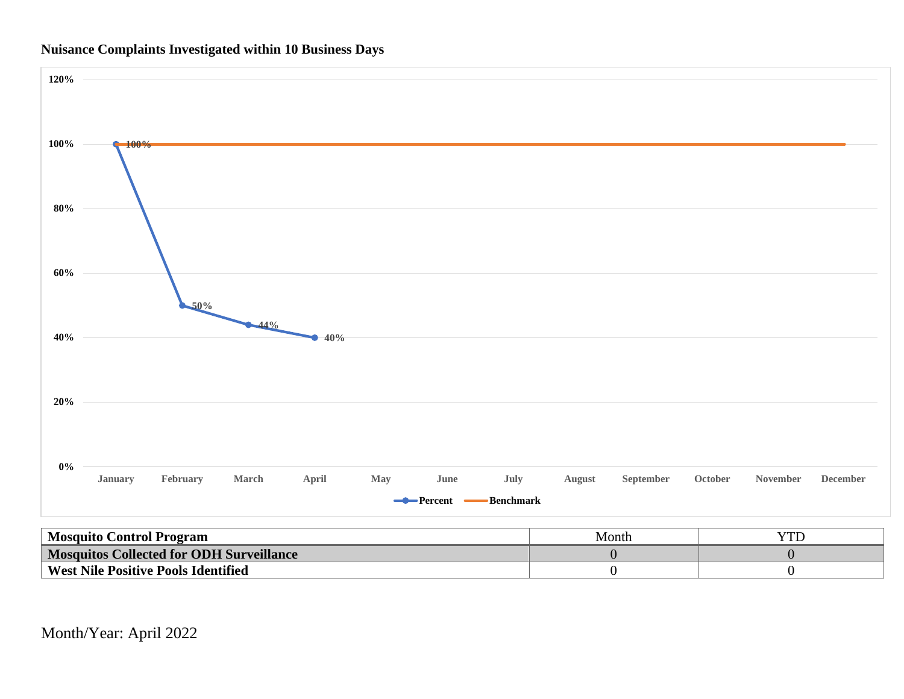



| <b>Mosquito Control Program</b>            | Month |  |
|--------------------------------------------|-------|--|
| Mosquitos Collected for ODH Surveillance   |       |  |
| <b>West Nile Positive Pools Identified</b> |       |  |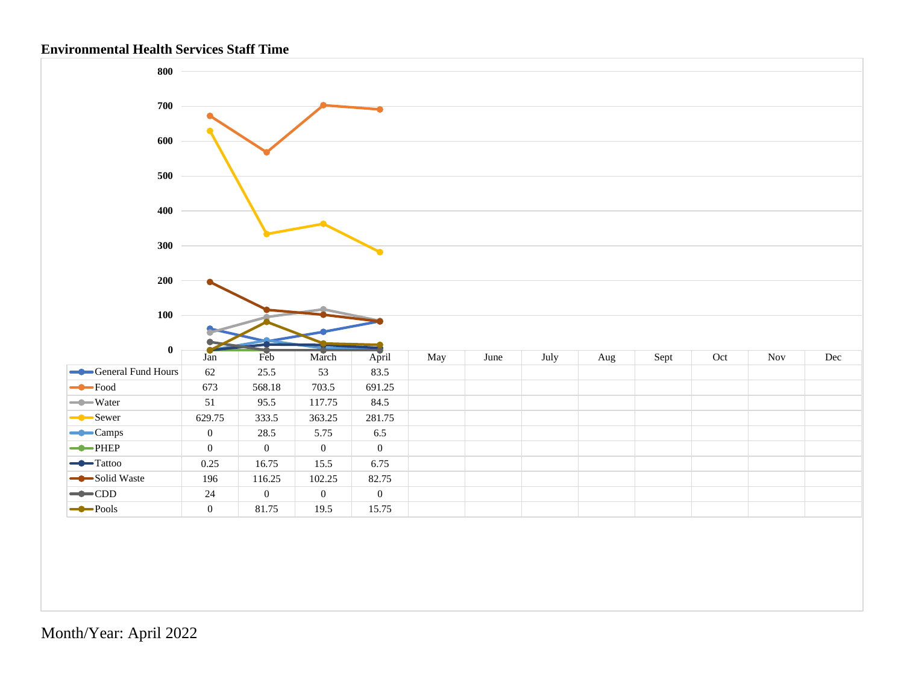### **Environmental Health Services Staff Time**

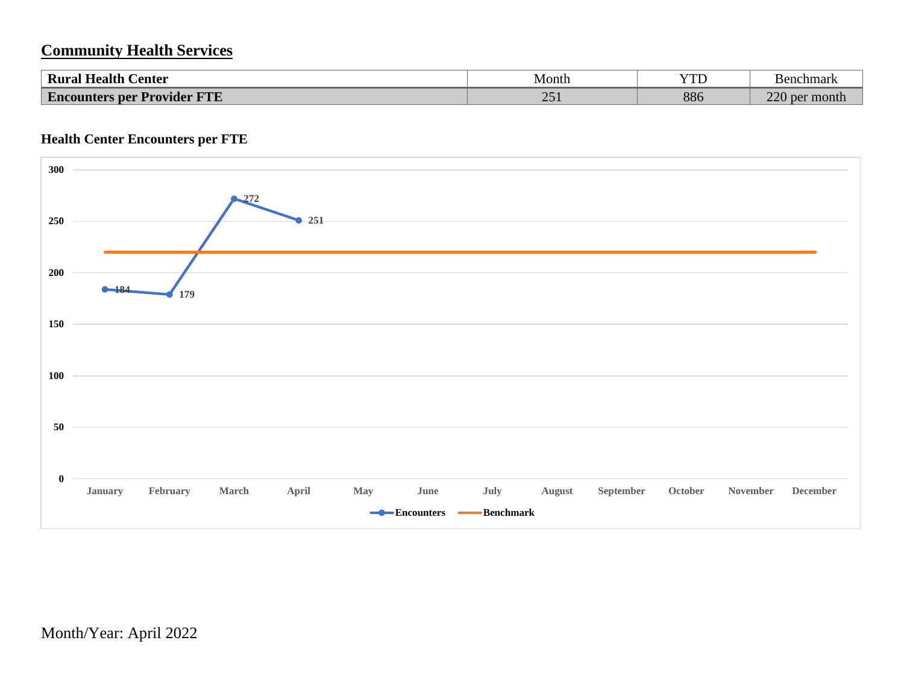## **Community Health Services**

| $\sim$<br>$\blacksquare$<br><b>Health</b><br>Center<br>Kural            | Month                      | 77<br>ΙD | <b>Benchmark</b>          |
|-------------------------------------------------------------------------|----------------------------|----------|---------------------------|
| $\overline{\phantom{a}}$<br>ETHE<br>' Provider<br><b>Encounters per</b> | $\cap$ $\subset$<br>$\sim$ | 886      | $\Omega$<br>month.<br>per |

## **Health Center Encounters per FTE**

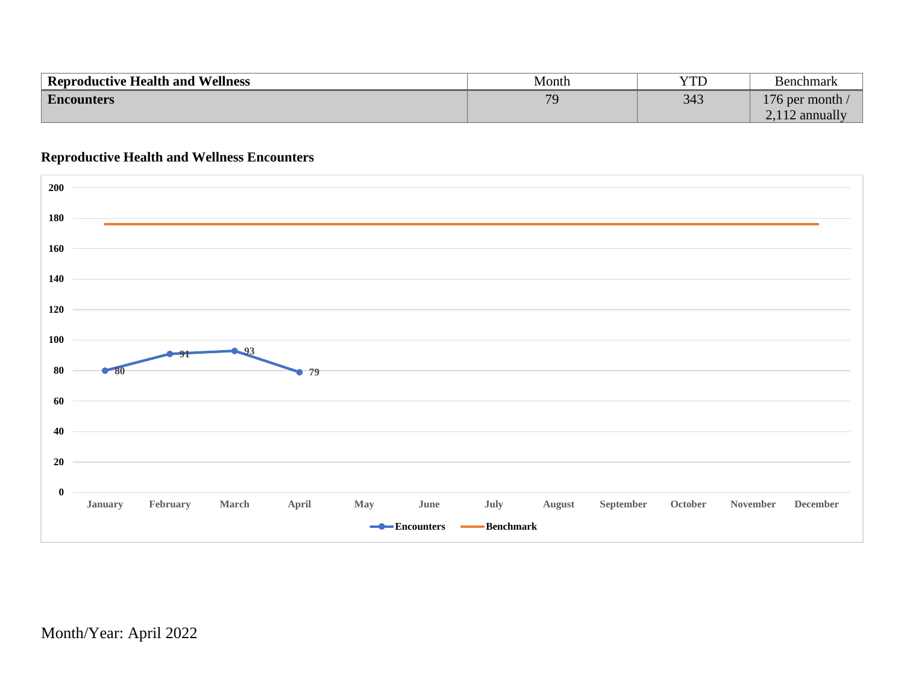| Reproductive Health and Wellness | Month | YTD | <b>Benchmark</b>        |
|----------------------------------|-------|-----|-------------------------|
| <b>Encounters</b>                | 70    | 343 | 176 per month $\lambda$ |
|                                  |       |     | 12 annually             |

### **Reproductive Health and Wellness Encounters**

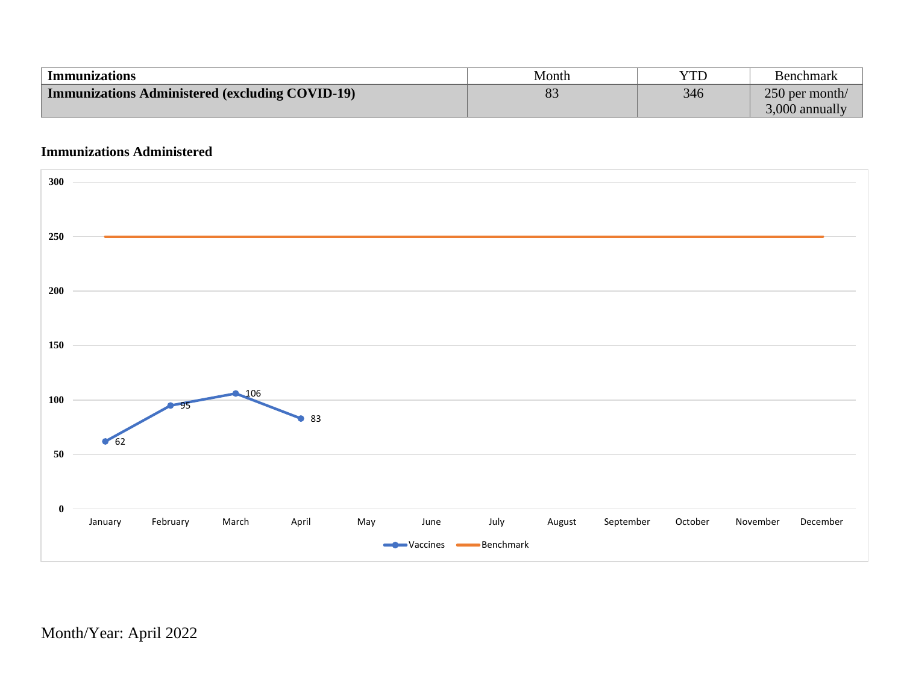| Immunizations                                          | Month                       | YTD | Benchmark        |
|--------------------------------------------------------|-----------------------------|-----|------------------|
| <b>Immunizations Administered (excluding COVID-19)</b> | $\mathbf{O}^{\prime}$<br>05 | 346 | 250 per month/   |
|                                                        |                             |     | $3,000$ annually |

## **Immunizations Administered**

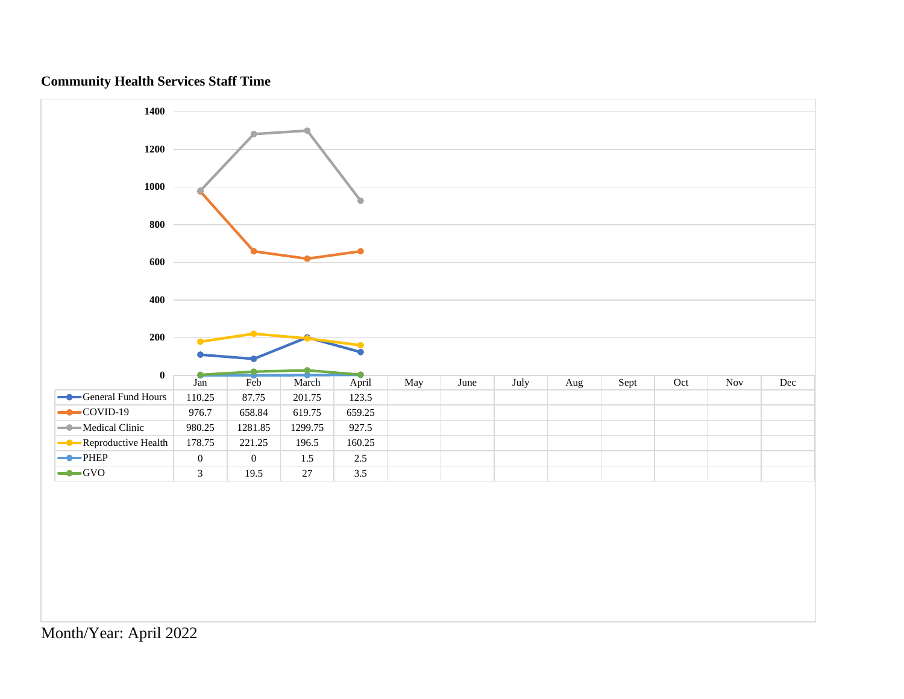## **Community Health Services Staff Time**

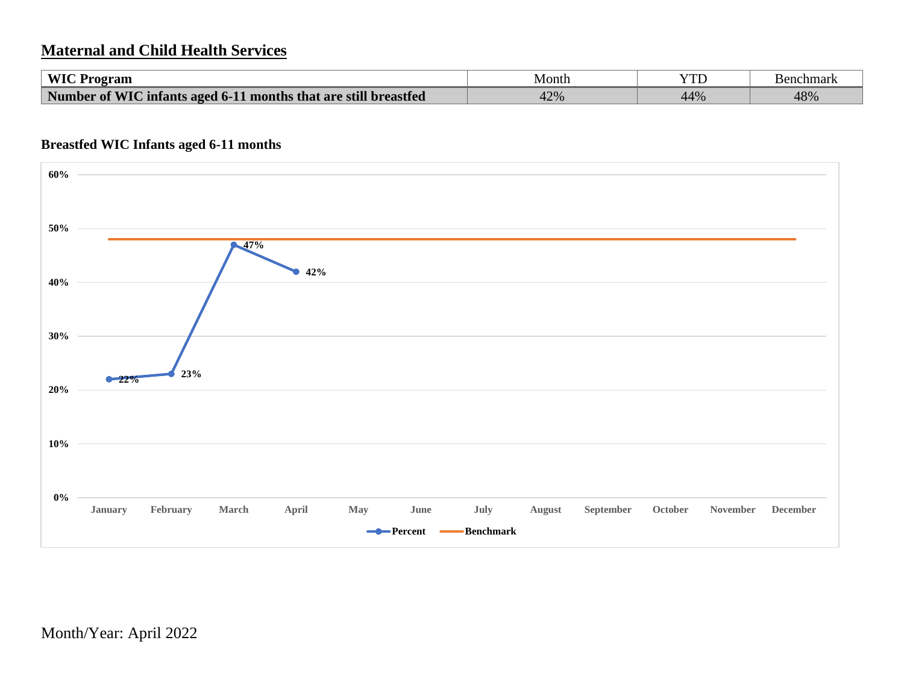## **Maternal and Child Health Services**

| WIC Program                                                     | Month | YTC | <b>Benchmark</b> |
|-----------------------------------------------------------------|-------|-----|------------------|
| Number of WIC infants aged 6-11 months that are still breastfed | 42%   | 44% | 48%              |

### **Breastfed WIC Infants aged 6-11 months**

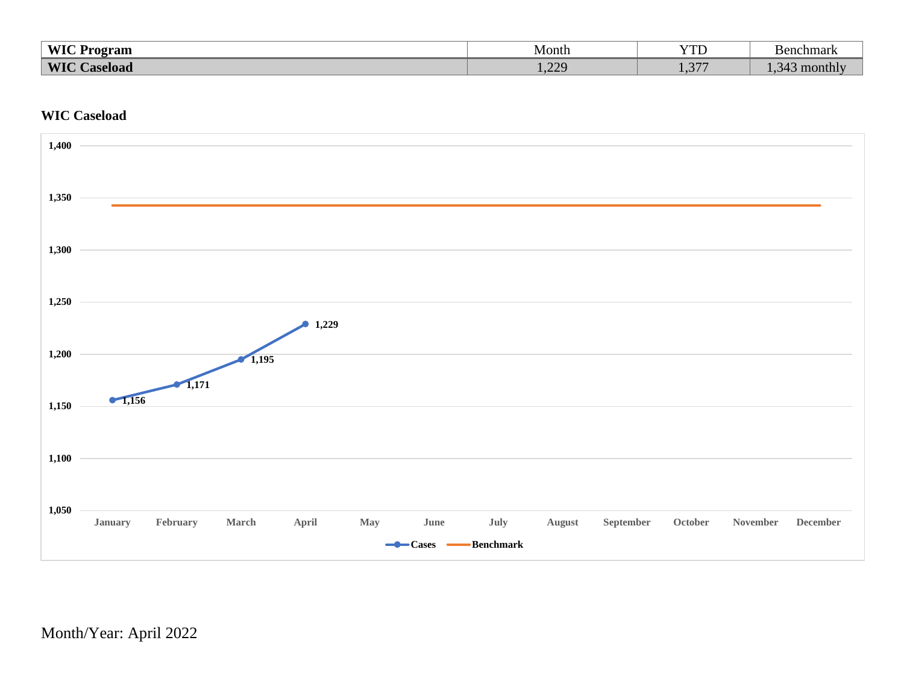| $WIC$ D         | Month                             | $T$ $T$ $T$ $T$ $T$ $T$ | chmar |
|-----------------|-----------------------------------|-------------------------|-------|
| Program         |                                   | 1D                      | ∍⊧    |
| <b>WIC</b>      | 220                               | $\sqrt{2}$              | month |
| <b>Caseload</b> | $\overline{1}$ . $\overline{2}$ . | $\sim$ 1 $\sim$         | ∼⊿    |

## **WIC Caseload**

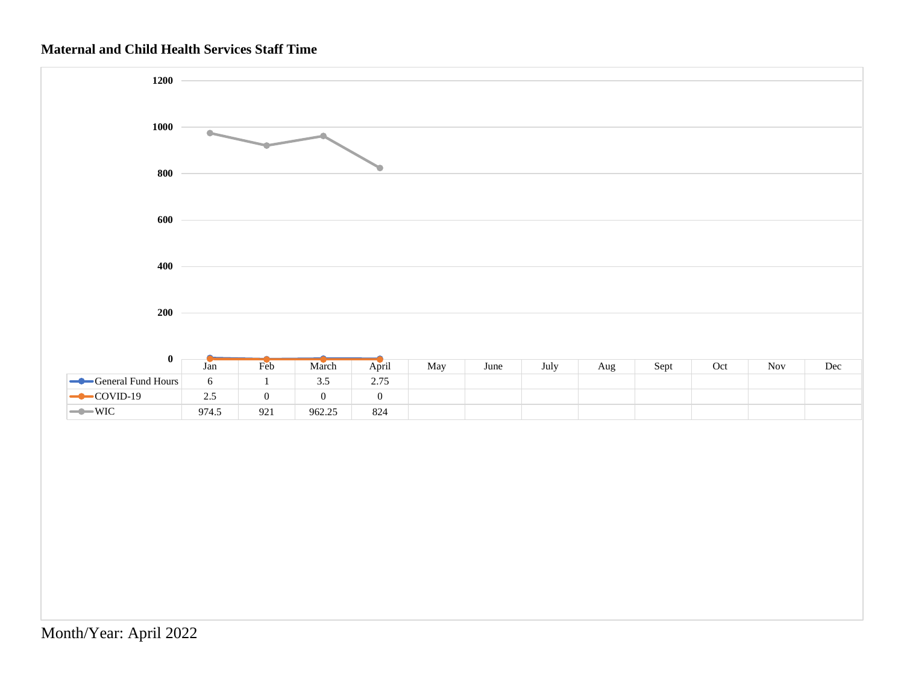## **Maternal and Child Health Services Staff Time**

![](_page_15_Figure_1.jpeg)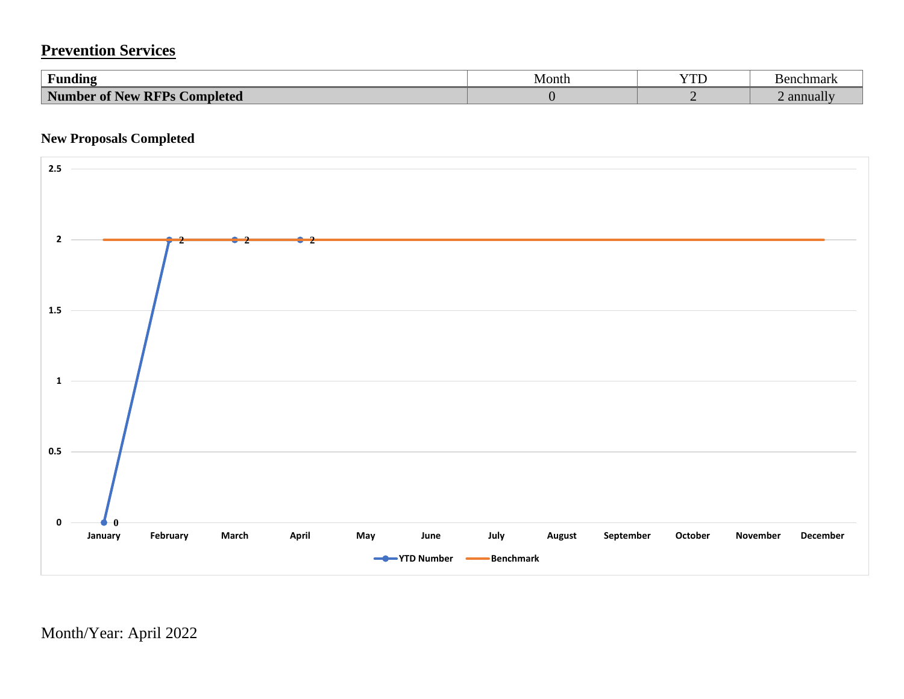# **Prevention Services**

| $\mathbf{r}$ , $\mathbf{r}$<br>Funding                   | Month | $\sqrt{7}$<br>ιı | Benchmark |
|----------------------------------------------------------|-------|------------------|-----------|
| <b>Number of New RFPs</b><br><sub>/</sub> RFPs Completed |       |                  | annuall   |

### **New Proposals Completed**

![](_page_16_Figure_3.jpeg)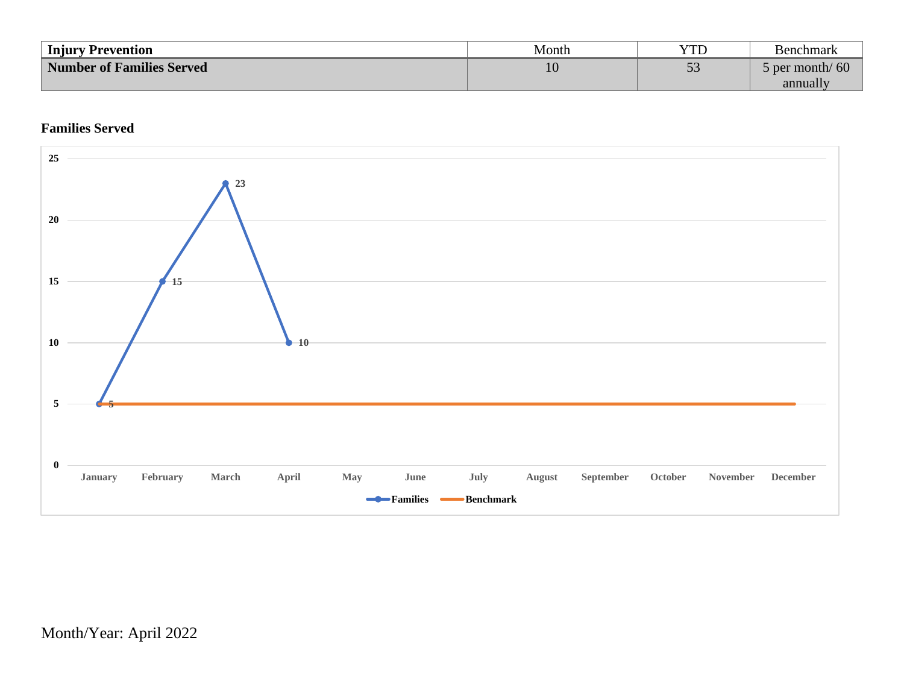| <b>Injury Prevention</b>         | Month | YTD                            | <b>Benchmark</b>      |
|----------------------------------|-------|--------------------------------|-----------------------|
| <b>Number of Families Served</b> | 10    | $\overline{\phantom{a}}$<br>IJ | $\delta$ per month/60 |
|                                  |       |                                | annually              |

## **Families Served**

![](_page_17_Figure_2.jpeg)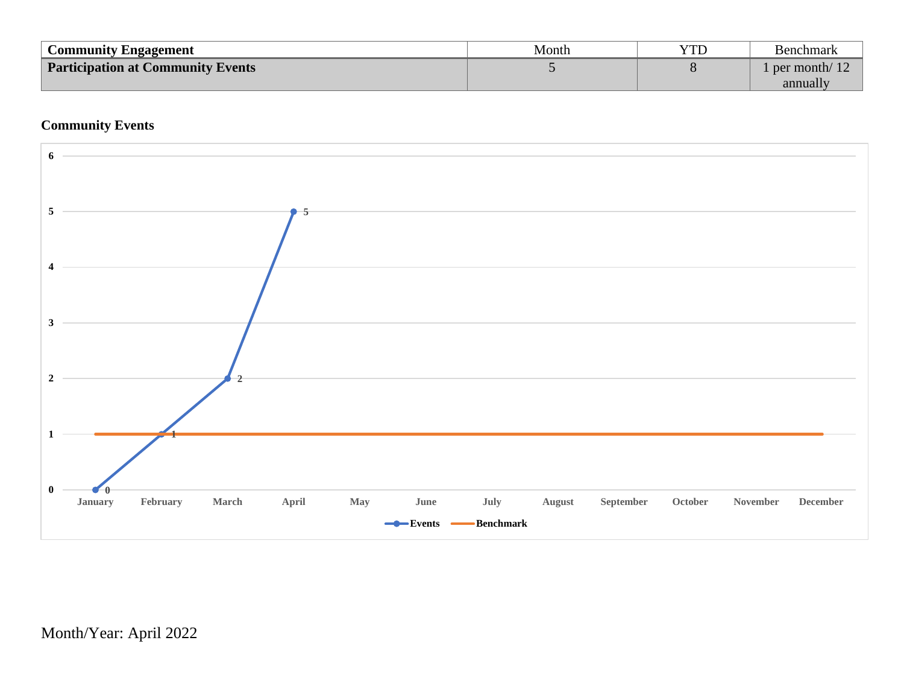| Community Engagement                     | Month | YTD | Benchmark                |
|------------------------------------------|-------|-----|--------------------------|
| <b>Participation at Community Events</b> |       |     | $\Box$ per month/ $\Box$ |
|                                          |       |     | annually                 |

## **Community Events**

![](_page_18_Figure_2.jpeg)